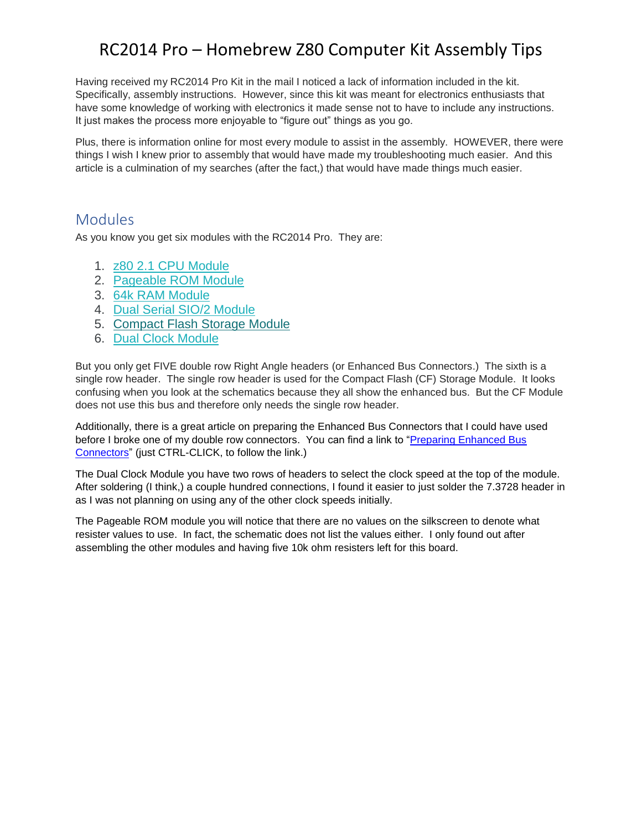Having received my RC2014 Pro Kit in the mail I noticed a lack of information included in the kit. Specifically, assembly instructions. However, since this kit was meant for electronics enthusiasts that have some knowledge of working with electronics it made sense not to have to include any instructions. It just makes the process more enjoyable to "figure out" things as you go.

Plus, there is information online for most every module to assist in the assembly. HOWEVER, there were things I wish I knew prior to assembly that would have made my troubleshooting much easier. And this article is a culmination of my searches (after the fact,) that would have made things much easier.

### Modules

As you know you get six modules with the RC2014 Pro. They are:

- 1. [z80 2.1 CPU Module](https://www.tindie.com/products/Semachthemonkey/z80-cpu-v21-for-enhanced-bus-rc2014/)
- 2. [Pageable ROM Module](https://www.tindie.com/products/Semachthemonkey/pageable-rom-module-for-rc2014-homebrew-computer/)
- 3. [64k RAM Module](https://www.tindie.com/products/Semachthemonkey/64k-ram-module-for-rc2014-z80-homebrew-computer/)
- 4. [Dual Serial SIO/2 Module](https://www.tindie.com/products/Semachthemonkey/sio2-dual-serial-module-for-rc2014/)
- 5. [Compact Flash Storage Module](https://www.tindie.com/products/Semachthemonkey/compact-flash-module-for-cpm-rc2014-computer/)
- 6. [Dual Clock Module](https://www.tindie.com/products/Semachthemonkey/rc2014-dual-clock-module/)

But you only get FIVE double row Right Angle headers (or Enhanced Bus Connectors.) The sixth is a single row header. The single row header is used for the Compact Flash (CF) Storage Module. It looks confusing when you look at the schematics because they all show the enhanced bus. But the CF Module does not use this bus and therefore only needs the single row header.

Additionally, there is a great article on preparing the Enhanced Bus Connectors that I could have used before I broke one of my double row connectors. You can find a link to "Preparing Enhanced Bus [Connectors"](http://rc2014.co.uk/1426/preparing-enhanced-bus-connectors/) (just CTRL-CLICK, to follow the link.)

The Dual Clock Module you have two rows of headers to select the clock speed at the top of the module. After soldering (I think,) a couple hundred connections, I found it easier to just solder the 7.3728 header in as I was not planning on using any of the other clock speeds initially.

The Pageable ROM module you will notice that there are no values on the silkscreen to denote what resister values to use. In fact, the schematic does not list the values either. I only found out after assembling the other modules and having five 10k ohm resisters left for this board.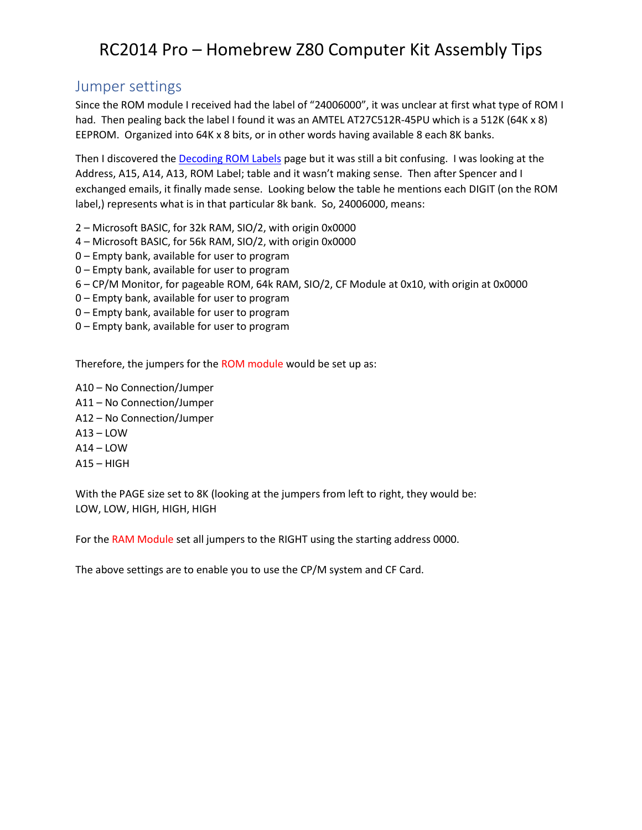### Jumper settings

Since the ROM module I received had the label of "24006000", it was unclear at first what type of ROM I had. Then pealing back the label I found it was an AMTEL AT27C512R-45PU which is a 512K (64K x 8) EEPROM. Organized into 64K x 8 bits, or in other words having available 8 each 8K banks.

Then I discovered th[e Decoding ROM Labels](http://rc2014.co.uk/1515/decoding-rom-labels/) page but it was still a bit confusing. I was looking at the Address, A15, A14, A13, ROM Label; table and it wasn't making sense. Then after Spencer and I exchanged emails, it finally made sense. Looking below the table he mentions each DIGIT (on the ROM label,) represents what is in that particular 8k bank. So, 24006000, means:

- 2 Microsoft BASIC, for 32k RAM, SIO/2, with origin 0x0000
- 4 Microsoft BASIC, for 56k RAM, SIO/2, with origin 0x0000
- 0 Empty bank, available for user to program
- 0 Empty bank, available for user to program
- 6 CP/M Monitor, for pageable ROM, 64k RAM, SIO/2, CF Module at 0x10, with origin at 0x0000
- 0 Empty bank, available for user to program
- 0 Empty bank, available for user to program
- 0 Empty bank, available for user to program

Therefore, the jumpers for the ROM module would be set up as:

A10 – No Connection/Jumper A11 – No Connection/Jumper A12 – No Connection/Jumper A13 – LOW  $A14 - LOW$  $A15 - HIGH$ 

With the PAGE size set to 8K (looking at the jumpers from left to right, they would be: LOW, LOW, HIGH, HIGH, HIGH

For the RAM Module set all jumpers to the RIGHT using the starting address 0000.

The above settings are to enable you to use the CP/M system and CF Card.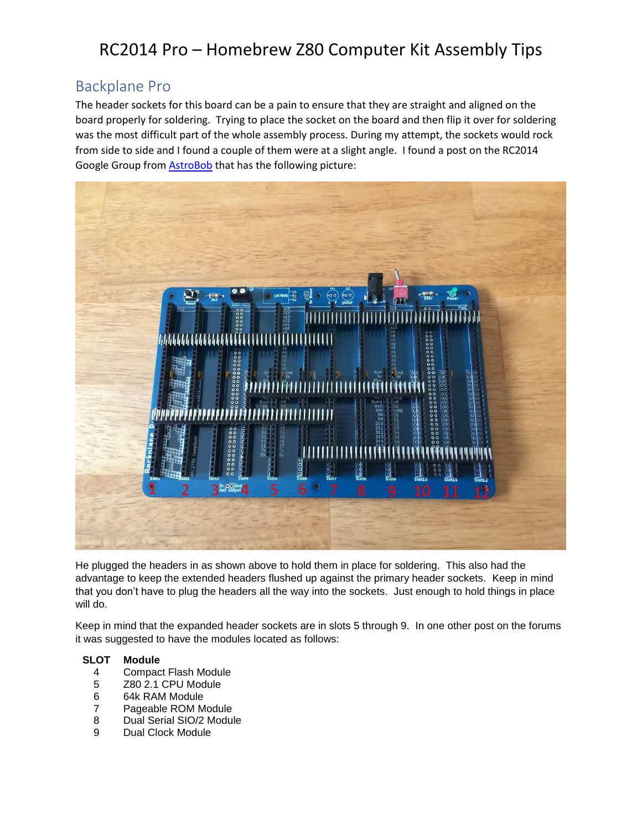## Backplane Pro

The header sockets for this board can be a pain to ensure that they are straight and aligned on the board properly for soldering. Trying to place the socket on the board and then flip it over for soldering was the most difficult part of the whole assembly process. During my attempt, the sockets would rock from side to side and I found a couple of them were at a slight angle. I found a post on the RC2014 Google Group from [AstroBob](https://groups.google.com/forum/#!topic/rc2014-z80/pA9cCaR9568) that has the following picture:



He plugged the headers in as shown above to hold them in place for soldering. This also had the advantage to keep the extended headers flushed up against the primary header sockets. Keep in mind that you don't have to plug the headers all the way into the sockets. Just enough to hold things in place will do.

Keep in mind that the expanded header sockets are in slots 5 through 9. In one other post on the forums it was suggested to have the modules located as follows:

#### **SLOT Module**

- 4 Compact Flash Module
- 5 Z80 2.1 CPU Module
- 6 64k RAM Module
- 7 Pageable ROM Module
- 8 Dual Serial SIO/2 Module
- 9 Dual Clock Module